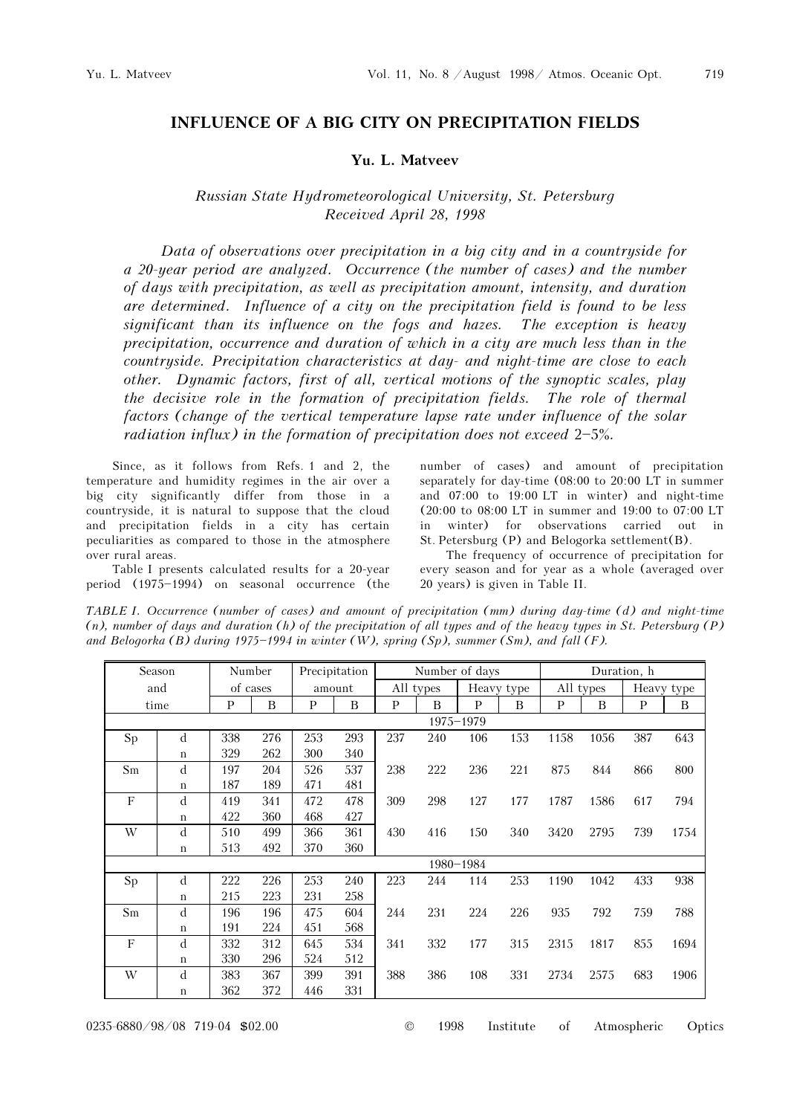719

## INFLUENCE OF A BIG CITY ON PRECIPITATION FIELDS

## Yu. L. Matveev

## Russian State Hydrometeorological University, St. Petersburg Received April 28, 1998

Data of observations over precipitation in a big city and in a countryside for a 20-year period are analyzed. Occurrence (the number of cases) and the number of days with precipitation, as well as precipitation amount, intensity, and duration are determined. Influence of a city on the precipitation field is found to be less significant than its influence on the fogs and hazes. The exception is heavy precipitation, occurrence and duration of which in a city are much less than in the countryside. Precipitation characteristics at day- and night-time are close to each other. Dynamic factors, first of all, vertical motions of the synoptic scales, play the decisive role in the formation of precipitation fields. The role of thermal factors (change of the vertical temperature lapse rate under influence of the solar radiation influx) in the formation of precipitation does not exceed  $2-5\%$ .

Since, as it follows from Refs. 1 and 2, the temperature and humidity regimes in the air over a big city significantly differ from those in a countryside, it is natural to suppose that the cloud and precipitation fields in a city has certain peculiarities as compared to those in the atmosphere over rural areas.

Table I presents calculated results for a 20-year period (1975-1994) on seasonal occurrence (the number of cases) and amount of precipitation separately for day-time (08:00 to 20:00 LT in summer and 07:00 to 19:00 LT in winter) and night-time (20:00 to 08:00 LT in summer and 19:00 to 07:00 LT in winter) for observations carried out in St. Petersburg (P) and Belogorka settlement(B).

The frequency of occurrence of precipitation for every season and for year as a whole (averaged over 20 years) is given in Table II.

TABLE I. Occurrence (number of cases) and amount of precipitation (mm) during day-time (d) and night-time  $(n)$ , number of days and duration  $(h)$  of the precipitation of all types and of the heavy types in St. Petersburg  $(P)$ and Belogorka (B) during 1975-1994 in winter (W), spring (Sp), summer (Sm), and fall (F).

|         | Season         |     | Number   |     | Precipitation |     |                | Number of days |     |              |           | Duration, h |            |
|---------|----------------|-----|----------|-----|---------------|-----|----------------|----------------|-----|--------------|-----------|-------------|------------|
|         | and            |     | of cases |     | amount        |     | All types      | Heavy type     |     |              | All types |             | Heavy type |
|         | time           | P   | B        | P   | $\mathbf B$   | P   | $\overline{B}$ | P              | B   | $\mathbf{p}$ | B         |             | B          |
|         |                |     |          |     |               |     |                | 1975-1979      |     |              |           |             |            |
| Sp      | d              | 338 | 276      | 253 | 293           | 237 | 240            | 106            | 153 | 1158         | 1056      | 387         | 643        |
|         | $\,$ $\,$ $\,$ | 329 | 262      | 300 | 340           |     |                |                |     |              |           |             |            |
| Sm      | d              | 197 | 204      | 526 | 537           | 238 | 222            | 236            | 221 | 875          | 844       | 866         | 800        |
|         | $\mathbf n$    | 187 | 189      | 471 | 481           |     |                |                |     |              |           |             |            |
| $\rm F$ | d              | 419 | 341      | 472 | 478           | 309 | 298            | 127            | 177 | 1787         | 1586      | 617         | 794        |
|         | $\mathbf n$    | 422 | 360      | 468 | 427           |     |                |                |     |              |           |             |            |
| W       | d              | 510 | 499      | 366 | 361           | 430 | 416            | 150            | 340 | 3420         | 2795      | 739         | 1754       |
|         | $\mathbf n$    | 513 | 492      | 370 | 360           |     |                |                |     |              |           |             |            |
|         |                |     |          |     |               |     | 1980-1984      |                |     |              |           |             |            |
| Sp      | d              | 222 | 226      | 253 | 240           | 223 | 244            | 114            | 253 | 1190         | 1042      | 433         | 938        |
|         | $\mathbf n$    | 215 | 223      | 231 | 258           |     |                |                |     |              |           |             |            |
| Sm      | d              | 196 | 196      | 475 | 604           | 244 | 231            | 224            | 226 | 935          | 792       | 759         | 788        |
|         | $\,$ $\,$ $\,$ | 191 | 224      | 451 | 568           |     |                |                |     |              |           |             |            |
| $\rm F$ | d              | 332 | 312      | 645 | 534           | 341 | 332            | 177            | 315 | 2315         | 1817      | 855         | 1694       |
|         | $\mathbf n$    | 330 | 296      | 524 | 512           |     |                |                |     |              |           |             |            |
| W       | d              | 383 | 367      | 399 | 391           | 388 | 386            | 108            | 331 | 2734         | 2575      | 683         | 1906       |
|         | $\mathbf n$    | 362 | 372      | 446 | 331           |     |                |                |     |              |           |             |            |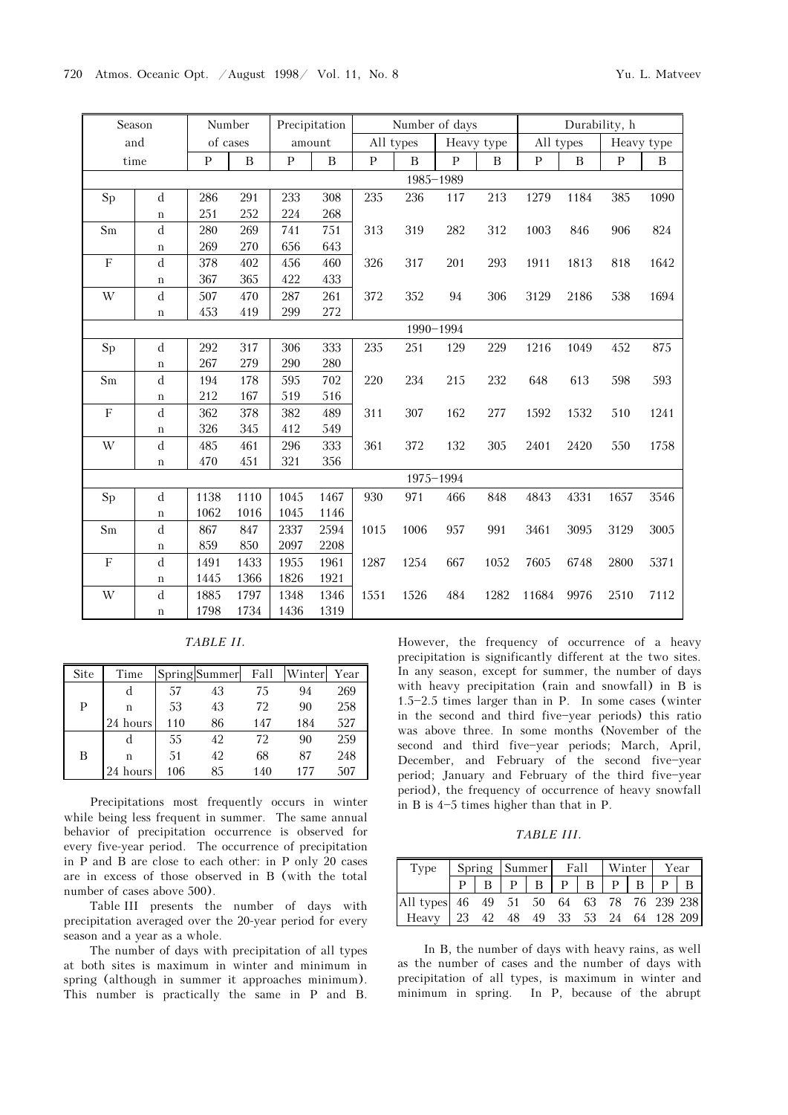|                         | Season             |              | Number           |              | Precipitation |      | Number of days |              |            |              |             | Durability, h |            |
|-------------------------|--------------------|--------------|------------------|--------------|---------------|------|----------------|--------------|------------|--------------|-------------|---------------|------------|
|                         | and                |              | of cases         |              | amount        |      | All types      |              | Heavy type |              | All types   |               | Heavy type |
|                         | time               | $\, {\bf p}$ | $\boldsymbol{B}$ | $\, {\bf p}$ | $\mathbf B$   | P    | B              | $\mathbf{P}$ | B          | $\mathbf{p}$ | $\mathbf B$ | P             | $\bf{B}$   |
|                         |                    |              |                  |              |               |      |                | 1985-1989    |            |              |             |               |            |
| Sp                      | $\mathbf d$        | 286          | 291              | 233          | 308           | 235  | 236            | 117          | 213        | 1279         | 1184        | 385           | 1090       |
|                         | $\mathbf n$        | 251          | 252              | 224          | 268           |      |                |              |            |              |             |               |            |
| Sm                      | ${\rm d}$          | 280          | 269              | 741          | 751           | 313  | 319            | 282          | 312        | 1003         | 846         | 906           | 824        |
|                         | $\mathbf n$        | 269          | 270              | 656          | 643           |      |                |              |            |              |             |               |            |
| $\overline{F}$          | $\mathbf d$        | 378          | 402              | 456          | 460           | 326  | 317            | 201          | 293        | 1911         | 1813        | 818           | 1642       |
|                         | $\bf n$            | 367          | 365              | 422          | 433           |      |                |              |            |              |             |               |            |
| W                       | ${\rm d}$          | 507          | 470              | 287          | 261           | 372  | 352            | 94           | 306        | 3129         | 2186        | 538           | 1694       |
|                         | $\mathbf n$        | 453          | 419              | 299          | 272           |      |                |              |            |              |             |               |            |
|                         |                    | 1990-1994    |                  |              |               |      |                |              |            |              |             |               |            |
| $\operatorname{Sp}$     | ${\rm d}$          | 292          | 317              | 306          | 333           | 235  | 251            | 129          | 229        | 1216         | 1049        | 452           | 875        |
|                         | $\rm n$            | 267          | 279              | 290          | 280           |      |                |              |            |              |             |               |            |
| Sm                      | d                  | 194          | 178              | 595          | 702           | 220  | 234            | 215          | 232        | 648          | 613         | 598           | 593        |
|                         | $\mathbf n$        | 212          | 167              | 519          | 516           |      |                |              |            |              |             |               |            |
| $\overline{\mathrm{F}}$ | ${\rm d}$          | 362          | 378              | 382          | 489           | 311  | 307            | 162          | 277        | 1592         | 1532        | 510           | 1241       |
|                         | $\bf n$            | 326          | 345              | 412          | 549           |      |                |              |            |              |             |               |            |
| W                       | ${\rm d}$          | 485          | 461              | 296          | 333           | 361  | 372            | 132          | 305        | 2401         | 2420        | 550           | 1758       |
|                         | $\rm n$            | 470          | 451              | 321          | 356           |      |                |              |            |              |             |               |            |
|                         |                    |              |                  |              |               |      |                | 1975-1994    |            |              |             |               |            |
| $\operatorname{Sp}$     | $\mathbf d$        | 1138         | 1110             | 1045         | 1467          | 930  | 971            | 466          | 848        | 4843         | 4331        | 1657          | 3546       |
|                         | $\mathbf n$        | 1062         | 1016             | 1045         | 1146          |      |                |              |            |              |             |               |            |
| Sm                      | ${\rm d}$          | 867          | 847              | 2337         | 2594          | 1015 | 1006           | 957          | 991        | 3461         | 3095        | 3129          | 3005       |
|                         | $\rm n$            | 859          | 850              | 2097         | 2208          |      |                |              |            |              |             |               |            |
| $\mathbf F$             | d                  | 1491         | 1433             | 1955         | 1961          | 1287 | 1254           | 667          | 1052       | 7605         | 6748        | 2800          | 5371       |
|                         | $\boldsymbol{\Pi}$ | 1445         | 1366             | 1826         | 1921          |      |                |              |            |              |             |               |            |
| W                       | ${\rm d}$          | 1885         | 1797             | 1348         | 1346          | 1551 | 1526           | 484          | 1282       | 11684        | 9976        | 2510          | 7112       |
|                         | $\mathbf n$        | 1798         | 1734             | 1436         | 1319          |      |                |              |            |              |             |               |            |

TABLE II.

| Site | Time     |     | Spring Summer | Fall | Winter | Year |
|------|----------|-----|---------------|------|--------|------|
|      | d        | 57  | 43            | 75   | 94     | 269  |
| P    | n        | 53  | 43            | 72   | 90     | 258  |
|      | 24 hours | 110 | 86            | 147  | 184    | 527  |
|      | d        | 55  | 42            | 72   | 90     | 259  |
| B    | n        | 51  | 42            | 68   | 87     | 248  |
|      | hours    | 106 | 85            | 140  | 177    | 507  |

Precipitations most frequently occurs in winter while being less frequent in summer. The same annual behavior of precipitation occurrence is observed for every five-year period. The occurrence of precipitation in P and B are close to each other: in P only 20 cases are in excess of those observed in B (with the total number of cases above 500).

Table III presents the number of days with precipitation averaged over the 20-year period for every season and a year as a whole.

The number of days with precipitation of all types at both sites is maximum in winter and minimum in spring (although in summer it approaches minimum). This number is practically the same in P and B.

However, the frequency of occurrence of a heavy precipitation is significantly different at the two sites. In any season, except for summer, the number of days with heavy precipitation (rain and snowfall) in B is  $1.5 - 2.5$  times larger than in P. In some cases (winter in the second and third five-year periods) this ratio was above three. In some months (November of the second and third five-year periods; March, April, December, and February of the second five-year period; January and February of the third five-year period), the frequency of occurrence of heavy snowfall in B is  $4-5$  times higher than that in P.

TABLE III.

| Type                                      |  |  | Spring Summer Fall Winter Year |                                         |  |  |  |  |  |  |
|-------------------------------------------|--|--|--------------------------------|-----------------------------------------|--|--|--|--|--|--|
|                                           |  |  |                                | $P$   B   P   B   P   B   P   B   P   B |  |  |  |  |  |  |
| All types 46 49 51 50 64 63 78 76 239 238 |  |  |                                |                                         |  |  |  |  |  |  |
| Heavy 23 42 48 49 33 53 24 64 128 209     |  |  |                                |                                         |  |  |  |  |  |  |

In B, the number of days with heavy rains, as well as the number of cases and the number of days with precipitation of all types, is maximum in winter and minimum in spring. In P, because of the abrupt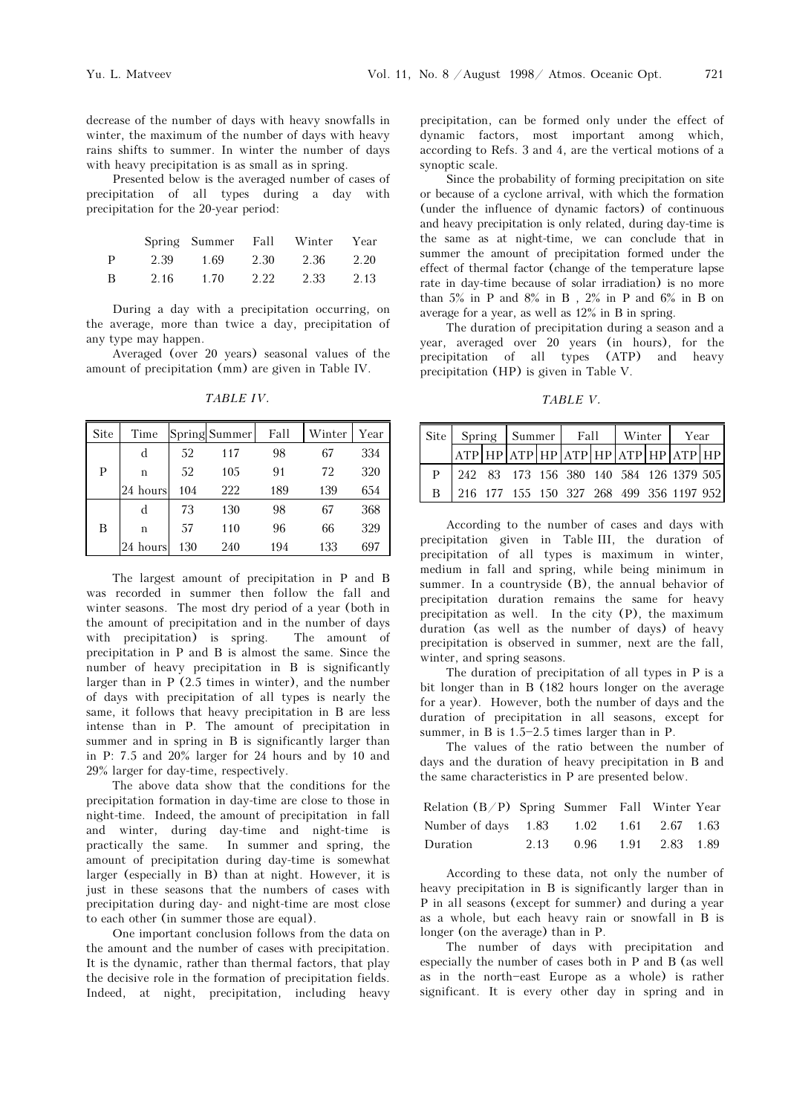decrease of the number of days with heavy snowfalls in winter, the maximum of the number of days with heavy rains shifts to summer. In winter the number of days with heavy precipitation is as small as in spring.

Presented below is the averaged number of cases of precipitation of all types during a day with precipitation for the 20-year period:

|   |      |      |      | Spring Summer Fall Winter Year |      |
|---|------|------|------|--------------------------------|------|
| P | 2.39 | 1.69 | 2.30 | 2.36                           | 2.20 |
| B | 2.16 | 1.70 | 2.22 | 2.33                           | 2.13 |

During a day with a precipitation occurring, on the average, more than twice a day, precipitation of any type may happen.

Averaged (over 20 years) seasonal values of the amount of precipitation (mm) are given in Table IV.

| <b>Site</b> | Time     |     | Spring Summer | Fall | Winter | Year |
|-------------|----------|-----|---------------|------|--------|------|
|             | d        | 52  | 117           | 98   | 67     | 334  |
| Р           | n        | 52  | 105           | 91   | 72     | 320  |
|             | 24 hours | 104 | 222           | 189  | 139    | 654  |
|             | d        | 73  | 130           | 98   | 67     | 368  |
| В           | n        | 57  | 110           | 96   | 66     | 329  |
|             | 24 hours | 130 | 240           | 194  | 133    | 697  |

TABLE IV.

The largest amount of precipitation in P and B was recorded in summer then follow the fall and winter seasons. The most dry period of a year (both in the amount of precipitation and in the number of days with precipitation) is spring. The amount of precipitation in P and B is almost the same. Since the number of heavy precipitation in B is significantly larger than in P (2.5 times in winter), and the number of days with precipitation of all types is nearly the same, it follows that heavy precipitation in B are less intense than in P. The amount of precipitation in summer and in spring in B is significantly larger than in P: 7.5 and 20% larger for 24 hours and by 10 and 29% larger for day-time, respectively.

The above data show that the conditions for the precipitation formation in day-time are close to those in night-time. Indeed, the amount of precipitation in fall and winter, during day-time and night-time is practically the same. In summer and spring, the amount of precipitation during day-time is somewhat larger (especially in B) than at night. However, it is just in these seasons that the numbers of cases with precipitation during day- and night-time are most close to each other (in summer those are equal).

One important conclusion follows from the data on the amount and the number of cases with precipitation. It is the dynamic, rather than thermal factors, that play the decisive role in the formation of precipitation fields. Indeed, at night, precipitation, including heavy precipitation, can be formed only under the effect of dynamic factors, most important among which, according to Refs. 3 and 4, are the vertical motions of a synoptic scale.

Since the probability of forming precipitation on site or because of a cyclone arrival, with which the formation (under the influence of dynamic factors) of continuous and heavy precipitation is only related, during day-time is the same as at night-time, we can conclude that in summer the amount of precipitation formed under the effect of thermal factor (change of the temperature lapse rate in day-time because of solar irradiation) is no more than  $5\%$  in P and  $8\%$  in B ,  $2\%$  in P and  $6\%$  in B on average for a year, as well as 12% in B in spring.

The duration of precipitation during a season and a year, averaged over 20 years (in hours), for the precipitation of all types (ATP) and heavy precipitation (HP) is given in Table V.

TABLE V.

|  |  | Site Spring Summer Fall |  |                                           |  | Winter |  | Year |  |
|--|--|-------------------------|--|-------------------------------------------|--|--------|--|------|--|
|  |  |                         |  | $ ATP HP ATP HP ATP HP ATP HP HP ATP HP $ |  |        |  |      |  |
|  |  |                         |  | 242 83 173 156 380 140 584 126 1379 505   |  |        |  |      |  |
|  |  |                         |  | 216 177 155 150 327 268 499 356 1197 952  |  |        |  |      |  |

According to the number of cases and days with precipitation given in Table III, the duration of precipitation of all types is maximum in winter, medium in fall and spring, while being minimum in summer. In a countryside (B), the annual behavior of precipitation duration remains the same for heavy precipitation as well. In the city (P), the maximum duration (as well as the number of days) of heavy precipitation is observed in summer, next are the fall, winter, and spring seasons.

The duration of precipitation of all types in P is a bit longer than in B (182 hours longer on the average for a year). However, both the number of days and the duration of precipitation in all seasons, except for summer, in B is  $1.5-2.5$  times larger than in P.

The values of the ratio between the number of days and the duration of heavy precipitation in B and the same characteristics in P are presented below.

| Relation $(B/P)$ Spring Summer Fall Winter Year |                          |  |  |
|-------------------------------------------------|--------------------------|--|--|
| Number of days 1.83 1.02 1.61 2.67 1.63         |                          |  |  |
| Duration                                        | 2.13 0.96 1.91 2.83 1.89 |  |  |

According to these data, not only the number of heavy precipitation in B is significantly larger than in P in all seasons (except for summer) and during a year as a whole, but each heavy rain or snowfall in B is longer (on the average) than in P.

The number of days with precipitation and especially the number of cases both in P and B (as well as in the north-east Europe as a whole) is rather significant. It is every other day in spring and in